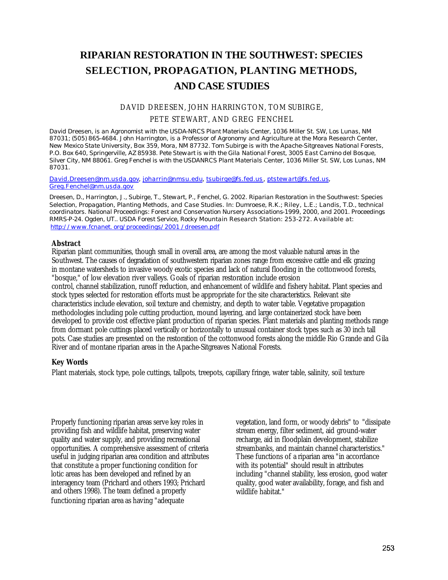# **RIPARIAN RESTORATION IN THE SOUTHWEST: SPECIES SELECTION, PROPAGATION, PLANTING METHODS, AND CASE STUDIES**

# DAVID DREESEN, JOHN HARRINGTON, TOM SUBIRGE, PETE STEWART, AND GREG FENCHEL

*David Dreesen, is an Agronomist with the USDA-NRCS Plant Materials Center, 1036 Miller St. SW, Los Lunas, NM 87031; (505) 865-4684. John Harrington, is a Professor of Agronomy and Agriculture at the Mora Research Center, New Mexico State University, Box 359, Mora, NM 87732. Tom Subirge is with the Apache-Sitgreaves National Forests, P.O. Box 640, Springerville, AZ 85938. Pete Stewart is with the Gila National Forest, 3005 East Camino del Bosque, Silver City, NM 88061. Greg Fenchel is with the USDANRCS Plant Materials Center, 1036 Miller St. SW, Los Lunas, NM 87031.*

*David.Dreesen@nm.usda.gov, joharrin@nmsu.edu, tsubirge@fs.fed.us, ptstewart@fs.fed.us, Greg.Fenchel@nm.usda.gov*

*Dreesen, D., Harrington, J., Subirge, T., Stewart, P., Fenchel, G. 2002. Riparian Restoration in the Southwest: Species Selection, Propagation, Planting Methods, and Case Studies. In: Dumroese, R.K.; Riley, L.E.; Landis, T.D., technical coordinators. National Proceedings: Forest and Conservation Nursery Associations-1999, 2000, and 2001. Proceedings RMRS-P-24. Ogden, UT.. USDA Forest Service, Rocky Mountain Research Station: 253-272. Available at: http://www.fcnanet. org/proceedings/2001 /dreesen.pdf*

## **Abstract**

Riparian plant communities, though small in overall area, are among the most valuable natural areas in the Southwest. The causes of degradation of southwestern riparian zones range from excessive cattle and elk grazing in montane watersheds to invasive woody exotic species and lack of natural flooding in the cottonwood forests, "bosque," of low elevation river valleys. Goals of riparian restoration include erosion control, channel stabilization, runoff reduction, and enhancement of wildlife and fishery habitat. Plant species and stock types selected for restoration efforts must be appropriate for the site characteristics. Relevant site characteristics include elevation, soil texture and chemistry, and depth to water table. Vegetative propagation methodologies including pole cutting production, mound layering, and large containerized stock have been developed to provide cost effective plant production of riparian species. Plant materials and planting methods range from dormant pole cuttings placed vertically or horizontally to unusual container stock types such as 30 inch tall pots. Case studies are presented on the restoration of the cottonwood forests along the middle Rio Grande and Gila River and of montane riparian areas in the Apache-Sitgreaves National Forests.

## **Key Words**

Plant materials, stock type, pole cuttings, tallpots, treepots, capillary fringe, water table, salinity, soil texture

Properly functioning riparian areas serve key roles in providing fish and wildlife habitat, preserving water quality and water supply, and providing recreational opportunities. A comprehensive assessment of criteria useful in judging riparian area condition and attributes that constitute a proper functioning condition for lotic areas has been developed and refined by an interagency team (Prichard and others 1993; Prichard and others 1998). The team defined a properly functioning riparian area as having "adequate

vegetation, land form, or woody debris" to "dissipate stream energy, filter sediment, aid ground-water recharge, aid in floodplain development, stabilize streambanks, and maintain channel characteristics." These functions of a riparian area "in accordance with its potential" should result in attributes including "channel stability, less erosion, good water quality, good water availability, forage, and fish and wildlife habitat."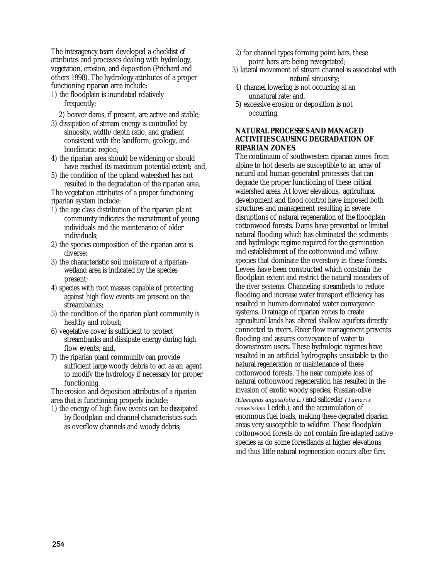The interagency team developed a checklist of attributes and processes dealing with hydrology, vegetation, erosion, and deposition (Prichard and others 1998). The hydrology attributes of a proper functioning riparian area include:

- 1) the floodplain is inundated relatively frequently;
	- 2) beaver dams, if present, are active and stable;
- 3) dissipation of stream energy is controlled by sinuosity, width/depth ratio, and gradient consistent with the landform, geology, and bioclimatic region;
- 4) the riparian area should be widening or should have reached its maximum potential extent; and,
- 5) the condition of the upland watershed has not resulted in the degradation of the riparian area.

The vegetation attributes of a proper functioning riparian system include:

- 1) the age class distribution of the riparian pla nt community indicates the recruitment of young individuals and the maintenance of older individuals;
- 2) the species composition of the riparian area is diverse;
- 3) the characteristic soil moisture of a riparianwetland area is indicated by the species present;
- 4) species with root masses capable of protecting against high flow events are present on the streambanks;
- 5) the condition of the riparian plant community is healthy and robust;
- 6) vegetative cover is sufficient to protect streambanks and dissipate energy during high flow events; and,
- 7) the riparian plant community can provide sufficient large woody debris to act as an agent to modify the hydrology if necessary for proper functioning.

The erosion and deposition attributes of a riparian area that is functioning properly include:

1) the energy of high flow events can be dissipated by floodplain and channel characteristics such as overflow channels and woody debris;

- 2) for channel types forming point bars, these point bars are being revegetated;
- 3) lateral movement of stream channel is associated with natural sinuosity;
- 4) channel lowering is not occurring at an unnatural rate; and,
- 5) excessive erosion or deposition is not occurring.

## **NATURAL PROCESSES AND MANAGED ACTIVITIES CAUSING DEGRADATION OF RIPARIAN ZONES**

The continuum of southwestern riparian zones from alpine to hot deserts are susceptible to an array of natural and human-generated processes that can degrade the proper functioning of these critical watershed areas. At lower elevations, agricultural development and flood control have imposed both structures and management resulting in severe disruptions of natural regeneration of the floodplain cottonwood forests. Dams have prevented or limited natural flooding which has eliminated the sediments and hydrologic regime required for the germination and establishment of the cottonwood and willow species that dominate the overstory in these forests. Levees have been constructed which constrain the floodplain extent and restrict the natural meanders of the river systems. Channeling streambeds to reduce flooding and increase water transport efficiency has resulted in human-dominated water conveyance systems. Drainage of riparian zones to create agricultural lands has altered shallow aquifers directly connected to rivers. River flow management prevents flooding and assures conveyance of water to downstream users. These hydrologic regimes have resulted in an artificial hydrographs unsuitable to the natural regeneration or maintenance of these cottonwood forests. The near complete loss of natural cottonwood regeneration has resulted in the invasion of exotic woody species, Russian-olive *(Elaeagnus angustifolia L.)* and saltcedar *(Tamarix ramosissima* Ledeb.), and the accumulation of enormous fuel loads, making these degraded riparian areas very susceptible to wildfire. These floodplain cottonwood forests do not contain fire-adapted native species as do some forestlands at higher elevations and thus little natural regeneration occurs after fire.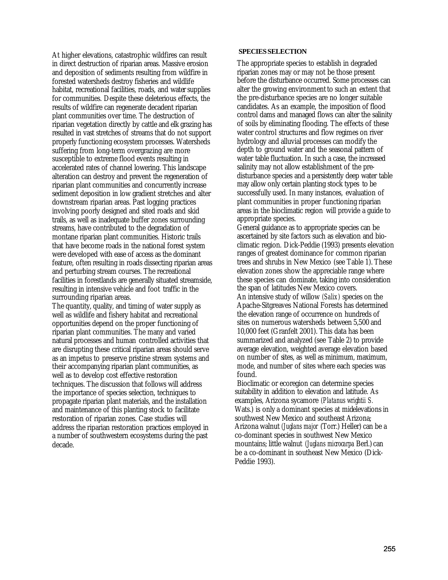At higher elevations, catastrophic wildfires can result in direct destruction of riparian areas. Massive erosion and deposition of sediments resulting from wildfire in forested watersheds destroy fisheries and wildlife habitat, recreational facilities, roads, and water supplies for communities. Despite these deleterious effects, the results of wildfire can regenerate decadent riparian plant communities over time. The destruction of riparian vegetation directly by cattle and elk grazing has resulted in vast stretches of streams that do not support properly functioning ecosystem processes. Watersheds suffering from long-term overgrazing are more susceptible to extreme flood events resulting in accelerated rates of channel lowering. This landscape alteration can destroy and prevent the regeneration of riparian plant communities and concurrently increase sediment deposition in low gradient stretches and alter downstream riparian areas. Past logging practices involving poorly designed and sited roads and skid trails, as well as inadequate buffer zones surrounding streams, have contributed to the degradation of montane riparian plant communities. Historic trails that have become roads in the national forest system were developed with ease of access as the dominant feature, often resulting in roads dissecting riparian areas and perturbing stream courses. The recreational facilities in forestlands are generally situated streamside, resulting in intensive vehicle and foot traffic in the surrounding riparian areas.

The quantity, quality, and timing of water supply as well as wildlife and fishery habitat and recreational opportunities depend on the proper functioning of riparian plant communities. The many and varied natural processes and human controlled activities that are disrupting these critical riparian areas should serve as an impetus to preserve pristine stream systems and their accompanying riparian plant communities, as well as to develop cost effective restoration techniques. The discussion that follows will address the importance of species selection, techniques to propagate riparian plant materials, and the installation and maintenance of this planting stock to facilitate restoration of riparian zones. Case studies will address the riparian restoration practices employed in a number of southwestern ecosystems during the past decade.

#### **SPECIES SELECTION**

The appropriate species to establish in degraded riparian zones may or may not be those present before the disturbance occurred. Some processes can alter the growing environment to such an extent that the pre-disturbance species are no longer suitable candidates. As an example, the imposition of flood control dams and managed flows can alter the salinity of soils by eliminating flooding. The effects of these water control structures and flow regimes on river hydrology and alluvial processes can modify the depth to ground water and the seasonal pattern of water table fluctuation. In such a case, the increased salinity may not allow establishment of the predisturbance species and a persistently deep water table may allow only certain planting stock types to be successfully used. In many instances, evaluation of plant communities in proper functioning riparian areas in the bioclimatic region will provide a guide to appropriate species.

General guidance as to appropriate species can be ascertained by site factors such as elevation and bioclimatic region. Dick-Peddie (1993) presents elevation ranges of greatest dominance for common riparian trees and shrubs in New Mexico (see Table 1). These elevation zones show the appreciable range where these species can dominate, taking into consideration the span of latitudes New Mexico covers. An intensive study of willow *(Salix)* species on the Apache-Sitgreaves National Forests has determined the elevation range of occurrence on hundreds of sites on numerous watersheds between 5,500 and 10,000 feet (Granfelt 2001). This data has been summarized and analyzed (see Table 2) to provide average elevation, weighted average elevation based on number of sites, as well as minimum, maximum, mode, and number of sites where each species was found.

Bioclimatic or ecoregion can determine species suitability in addition to elevation and latitude. As examples, Arizona sycamore *(Platanus wrightii S.*  Wats.) is only a dominant species at midelevations in southwest New Mexico and southeast Arizona; Arizona walnut *(Juglans major* (Torr.) Heller) can be a co-dominant species in southwest New Mexico mountains; little walnut *(Juglans microcarpa* Berl.) can be a co-dominant in southeast New Mexico (Dick-Peddie 1993).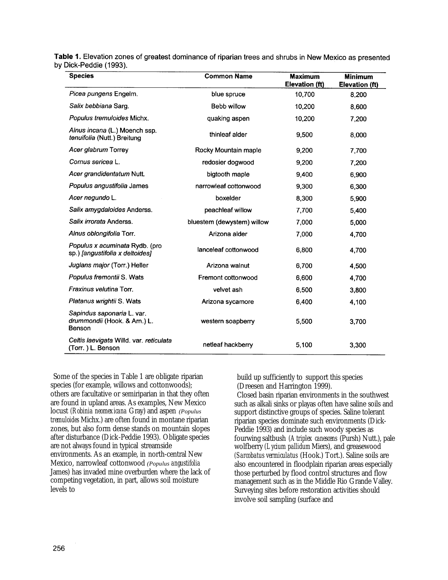Table 1. Elevation zones of greatest dominance of riparian trees and shrubs in New Mexico as presented by Dick-Peddie (1993).

| <b>Species</b>                                                       | <b>Common Name</b>         | <b>Maximum</b><br>Elevation (ft) | <b>Minimum</b><br>Elevation (ft) |
|----------------------------------------------------------------------|----------------------------|----------------------------------|----------------------------------|
| Picea pungens Engelm.                                                | blue spruce                | 10,700                           | 8,200                            |
| Salix bebbiana Sarg.                                                 | Bebb willow                | 10,200                           | 8,600                            |
| Populus tremuloides Michx.                                           | quaking aspen              | 10,200                           | 7.200                            |
| Alnus incana (L.) Moench ssp.<br>tenuifolia (Nutt.) Breitung         | thinleaf alder             | 9,500                            | 8,000                            |
| Acer glabrum Torrey                                                  | Rocky Mountain maple       | 9,200                            | 7,700                            |
| Cornus sericea L.                                                    | redosier dogwood           | 9,200                            | 7,200                            |
| Acer grandidentatum Nutt.                                            | bigtooth maple             | 9,400                            | 6,900                            |
| Populus angustifolia James                                           | narrowleaf cottonwood      | 9,300                            | 6,300                            |
| Acer negundo L.                                                      | boxelder                   | 8,300                            | 5,900                            |
| Salix amygdaloides Anderss.                                          | peachleaf willow           | 7,700                            | 5,400                            |
| Salix irrorata Anderss.                                              | bluestem (dewystem) willow | 7,000                            | 5,000                            |
| Alnus oblongifolia Torr.                                             | Arizona alder              | 7,000                            | 4,700                            |
| Populus x acuminata Rydb. (pro<br>sp.) [angustifolia x deltoides]    | lanceleaf cottonwood       | 6,800                            | 4,700                            |
| Juglans major (Torr.) Heller                                         | Arizona walnut             | 6,700                            | 4,500                            |
| Populus fremontii S. Wats                                            | Fremont cottonwood         | 6,600                            | 4,700                            |
| Fraxinus velutina Torr.                                              | velvet ash                 | 6,500                            | 3,800                            |
| Platanus wrightii S. Wats                                            | Arizona sycamore           | 6,400                            | 4,100                            |
| Sapindus saponaria L. var.<br>drummondii (Hook. & Arn.) L.<br>Benson | western soapberry          | 5,500                            | 3.700                            |
| Celtis laevigata Willd. var. reticulata<br>(Torr.) L. Benson         | netleaf hackberry          | 5,100                            | 3,300                            |

Some of the species in Table 1 are obligate riparian species (for example, willows and cottonwoods); others are facultative or semiriparian in that they often are found in upland areas. As examples, New Mexico locust *(Robinia neomexicana* Gray) and aspen *(Populus tremuloides* Michx.) are often found in montane riparian zones, but also form dense stands on mountain slopes after disturbance (Dick-Peddie 1993). Obligate species are not always found in typical streamside environments. As an example, in north-central New Mexico, narrowleaf cottonwood *(Populus angustifolia*  James) has invaded mine overburden where the lack of competing vegetation, in part, allows soil moisture levels to

build up sufficiently to support this species (Dreesen and Harrington 1999).

Closed basin riparian environments in the southwest such as alkali sinks or playas often have saline soils and support distinctive groups of species. Saline tolerant riparian species dominate such environments (Dick-Peddie 1993) and include such woody species as fourwing saltbush *(Atriplex canescens* (Pursh) Nutt.), pale wolfberry *(Lycium pallidum* Miers), and greasewood *(Sarcobatus vermiculatus* (Hook.) Tort.). Saline soils are also encountered in floodplain riparian areas especially those perturbed by flood control structures and flow management such as in the Middle Rio Grande Valley. Surveying sites before restoration activities should involve soil sampling (surface and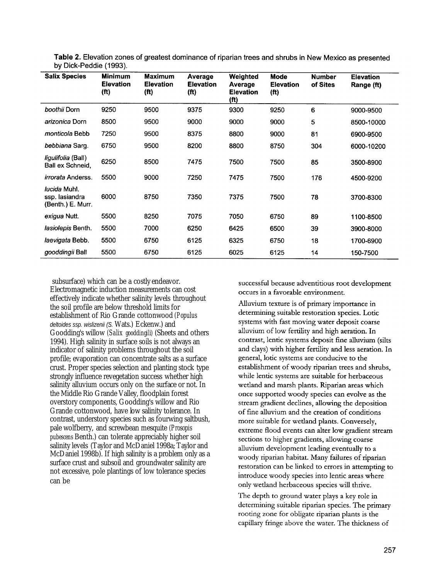| <b>Salix Species</b>                                       | <b>Minimum</b><br><b>Elevation</b><br>(f <sup>t</sup> ) | <b>Maximum</b><br><b>Elevation</b><br>(f <sup>t</sup> ) | Average<br><b>Elevation</b><br>(ft) | Weighted<br>Average<br><b>Elevation</b><br>(f <sup>t</sup> ) | Mode<br><b>Elevation</b><br>(f <sup>t</sup> ) | <b>Number</b><br>of Sites | <b>Elevation</b><br>Range (ft) |
|------------------------------------------------------------|---------------------------------------------------------|---------------------------------------------------------|-------------------------------------|--------------------------------------------------------------|-----------------------------------------------|---------------------------|--------------------------------|
| boothii Dorn                                               | 9250                                                    | 9500                                                    | 9375                                | 9300                                                         | 9250                                          | 6                         | 9000-9500                      |
| arizonica Dorn                                             | 8500                                                    | 9500                                                    | 9000                                | 9000                                                         | 9000                                          | 5                         | 8500-10000                     |
| monticola Bebb                                             | 7250                                                    | 9500                                                    | 8375                                | 8800                                                         | 9000                                          | 81                        | 6900-9500                      |
| bebbiana Sarg.                                             | 6750                                                    | 9500                                                    | 8200                                | 8800                                                         | 8750                                          | 304                       | 6000-10200                     |
| <i>liqulifolia</i> (Ball)<br>Ball ex Schneid,              | 6250                                                    | 8500                                                    | 7475                                | 7500                                                         | 7500                                          | 85                        | 3500-8900                      |
| <i>irrorata</i> Anderss.                                   | 5500                                                    | 9000                                                    | 7250                                | 7475                                                         | 7500                                          | 176                       | 4500-9200                      |
| <i>lucida</i> Muhl.<br>ssp. lasiandra<br>(Benth.) E. Murr. | 6000                                                    | 8750                                                    | 7350                                | 7375                                                         | 7500                                          | 78                        | 3700-8300                      |
| exigua Nutt.                                               | 5500                                                    | 8250                                                    | 7075                                | 7050                                                         | 6750                                          | 89                        | 1100-8500                      |
| lasiolepis Benth.                                          | 5500                                                    | 7000                                                    | 6250                                | 6425                                                         | 6500                                          | 39                        | 3900-8000                      |
| laevigata Bebb.                                            | 5500                                                    | 6750                                                    | 6125                                | 6325                                                         | 6750                                          | 18                        | 1700-6900                      |
| gooddingii Ball                                            | 5500                                                    | 6750                                                    | 6125                                | 6025                                                         | 6125                                          | 14                        | 150-7500                       |

Table 2. Elevation zones of greatest dominance of riparian trees and shrubs in New Mexico as presented by Dick-Peddie (1993).

subsurface) which can be a costly endeavor. Electromagnetic induction measurements can cost effectively indicate whether salinity levels throughout the soil profile are below threshold limits for establishment of Rio Grande cottonwood *(Populus deltoides ssp. wislizenii (S.* Wats.) Eckenw.) and Goodding's willow *(Salix gooddingili)* (Sheets and others 1994). High salinity in surface soils is not always an indicator of salinity problems throughout the soil profile; evaporation can concentrate salts as a surface crust. Proper species selection and planting stock type strongly influence revegetation success whether high salinity alluvium occurs only on the surface or not. In the Middle Rio Grande Valley, floodplain forest overstory components, Goodding's willow and Rio Grande cottonwood, have low salinity tolerance. In contrast, understory species such as fourwing saltbush, pale wolfberry, and screwbean mesquite *(Prosopis pubescens* Benth.) can tolerate appreciably higher soil salinity levels (Taylor and McDaniel 1998a; Taylor and McDaniel 1998b). If high salinity is a problem only as a surface crust and subsoil and groundwater salinity are not excessive, pole plantings of low tolerance species can be

successful because adventitious root development occurs in a favorable environment.

Alluvium texture is of primary importance in determining suitable restoration species. Lotic systems with fast moving water deposit coarse alluvium of low fertility and high aeration. In contrast, lentic systems deposit fine alluvium (silts and clays) with higher fertility and less aeration. In general, lotic systems are conducive to the establishment of woody riparian trees and shrubs, while lentic systems are suitable for herbaceous wetland and marsh plants. Riparian areas which once supported woody species can evolve as the stream gradient declines, allowing the deposition of fine alluvium and the creation of conditions more suitable for wetland plants. Conversely, extreme flood events can alter low gradient stream sections to higher gradients, allowing coarse alluvium development leading eventually to a woody riparian habitat. Many failures of riparian restoration can be linked to errors in attempting to introduce woody species into lentic areas where only wetland herbaceous species will thrive.

The depth to ground water plays a key role in determining suitable riparian species. The primary rooting zone for obligate riparian plants is the capillary fringe above the water. The thickness of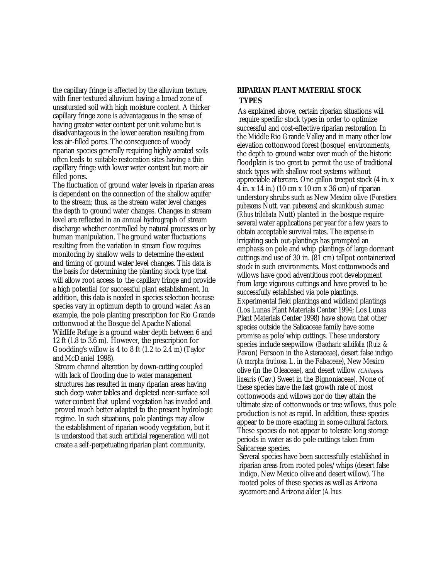the capillary fringe is affected by the alluvium texture, with finer textured alluvium having a broad zone of unsaturated soil with high moisture content. A thicker capillary fringe zone is advantageous in the sense of having greater water content per unit volume but is disadvantageous in the lower aeration resulting from less air-filled pores. The consequence of woody riparian species generally requiring highly aerated soils often leads to suitable restoration sites having a thin capillary fringe with lower water content but more air filled pores.

The fluctuation of ground water levels in riparian areas is dependent on the connection of the shallow aquifer to the stream; thus, as the stream water level changes the depth to ground water changes. Changes in stream level are reflected in an annual hydrograph of stream discharge whether controlled by natural processes or by human manipulation. The ground water fluctuations resulting from the variation in stream flow requires monitoring by shallow wells to determine the extent and timing of ground water level changes. This data is the basis for determining the planting stock type that will allow root access to the capillary fringe and provide a high potential for successful plant establishment. In addition, this data is needed in species selection because species vary in optimum depth to ground water. As an example, the pole planting prescription for Rio Grande cottonwood at the Bosque del Apache National Wildlife Refuge is a ground water depth between 6 and 12 ft (1.8 to 3.6 m). However, the prescription for Goodding's willow is 4 to 8 ft (1.2 to 2.4 m) (Taylor and McDaniel 1998).

Stream channel alteration by down-cutting coupled with lack of flooding due to water management structures has resulted in many riparian areas having such deep water tables and depleted near-surface soil water content that upland vegetation has invaded and proved much better adapted to the present hydrologic regime. In such situations, pole plantings may allow the establishment of riparian woody vegetation, but it is understood that such artificial regeneration will not create a self-perpetuating riparian plant community.

## **RIPARIAN PLANT MATERIAL STOCK TYPES**

As explained above, certain riparian situations will require specific stock types in order to optimize successful and cost-effective riparian restoration. In the Middle Rio Grande Valley and in many other low elevation cottonwood forest (bosque) environments, the depth to ground water over much of the historic floodplain is too great to permit the use of traditional stock types with shallow root systems without appreciable aftercare. One gallon treepot stock (4 in. x 4 in. x 14 in.) (10 cm x 10 cm x 36 cm) of riparian understory shrubs such as New Mexico olive *(Forestiera pubescens* Nutt. var. *pubescens)* and skunkbush sumac *(Rhus trilobata* Nutt) planted in the bosque require several water applications per year for a few years to obtain acceptable survival rates. The expense in irrigating such out-plantings has prompted an emphasis on pole and whip plantings of large dormant cuttings and use of 30 in. (81 cm) tallpot containerized stock in such environments. Most cottonwoods and willows have good adventitious root development from large vigorous cuttings and have proved to be successfully established via pole plantings. Experimental field plantings and wildland plantings (Los Lunas Plant Materials Center 1994; Los Lunas Plant Materials Center 1998) have shown that other species outside the Salicaceae family have some promise as pole/whip cuttings. These understory species include seepwillow *(Baccharic salicifolia (Ruiz &*  Pavon) Persoon in the Asteraceae), desert false indigo *(Amorpha fruticosa* L. in the Fabaceae), New Mexico olive (in the Oleaceae), and desert willow *(Chilopsis linearis* (Cav.) Sweet in the Bignoniaceae). None of these species have the fast growth rate of most cottonwoods and willows nor do they attain the ultimate size of cottonwoods or tree willows, thus pole production is not as rapid. In addition, these species appear to be more exacting in some cultural factors. These species do not appear to tolerate long storage periods in water as do pole cuttings taken from Salicaceae species.

Several species have been successfully established in riparian areas from rooted poles/whips (desert false indigo, New Mexico olive and desert willow). The rooted poles of these species as well as Arizona sycamore and Arizona alder *(Alnus*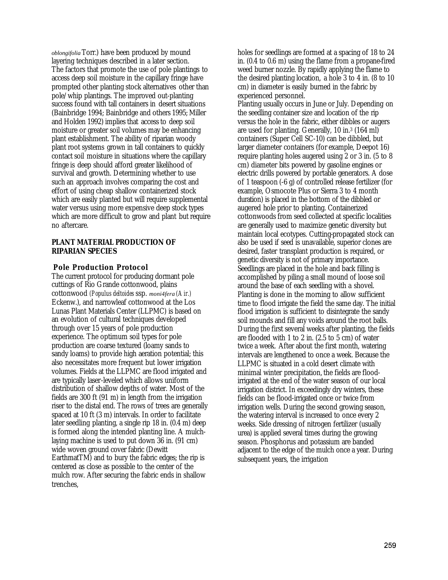*oblongifolia* Torr.) have been produced by mound layering techniques described in a later section. The factors that promote the use of pole plantings to access deep soil moisture in the capillary fringe have prompted other planting stock alternatives other than pole/whip plantings. The improved out-planting success found with tall containers in desert situations (Bainbridge 1994; Bainbridge and others 1995; Miller and Holden 1992) implies that access to deep soil moisture or greater soil volumes may be enhancing plant establishment. The ability of riparian woody plant root systems grown in tall containers to quickly contact soil moisture in situations where the capillary fringe is deep should afford greater likelihood of survival and growth. Determining whether to use such an approach involves comparing the cost and effort of using cheap shallow containerized stock which are easily planted but will require supplemental water versus using more expensive deep stock types which are more difficult to grow and plant but require no aftercare.

#### **PLANT MATERIAL PRODUCTION OF RIPARIAN SPECIES**

## **Pole Production Protocol**

The current protocol for producing dormant pole cuttings of Rio Grande cottonwood, plains cottonwood *(Populus deltoides* ssp. *moni4fera (Air.)*  Eckenw.), and narrowleaf cottonwood at the Los Lunas Plant Materials Center (LLPMC) is based on an evolution of cultural techniques developed through over 15 years of pole production experience. The optimum soil types for pole production are coarse textured (loamy sands to sandy loams) to provide high aeration potential; this also necessitates more frequent but lower irrigation volumes. Fields at the LLPMC are flood irrigated and are typically laser-leveled which allows uniform distribution of shallow depths of water. Most of the fields are 300 ft (91 m) in length from the irrigation riser to the distal end. The rows of trees are generally spaced at 10 ft (3 m) intervals. In order to facilitate later seedling planting, a single rip 18 in. (0.4 m) deep is formed along the intended planting line. A mulchlaying machine is used to put down 36 in. (91 cm) wide woven ground cover fabric (Dewitt EarthmatTM) and to bury the fabric edges; the rip is centered as close as possible to the center of the mulch row. After securing the fabric ends in shallow trenches,

holes for seedlings are formed at a spacing of 18 to 24 in. (0.4 to 0.6 m) using the flame from a propane-fired weed burner nozzle. By rapidly applying the flame to the desired planting location, a hole 3 to 4 in. (8 to 10 cm) in diameter is easily burned in the fabric by experienced personnel.

Planting usually occurs in June or July. Depending on the seedling container size and location of the rip versus the hole in the fabric, either dibbles or augers are used for planting. Generally, 10 in.<sup>3</sup> (164 ml) containers (Super Cell SC-10) can be dibbled, but larger diameter containers (for example, Deepot 16) require planting holes augered using 2 or 3 in. (5 to 8 cm) diameter bits powered by gasoline engines or electric drills powered by portable generators. A dose of 1 teaspoon (-6 g) of controlled release fertilizer (for example, Osmocote Plus or Sierra 3 to 4 month duration) is placed in the bottom of the dibbled or augered hole prior to planting. Containerized cottonwoods from seed collected at specific localities are generally used to maximize genetic diversity but maintain local ecotypes. Cutting-propagated stock can also be used if seed is unavailable, superior clones are desired, faster transplant production is required, or genetic diversity is not of primary importance. Seedlings are placed in the hole and back filling is accomplished by piling a small mound of loose soil around the base of each seedling with a shovel. Planting is done in the morning to allow sufficient time to flood irrigate the field the same day. The initial flood irrigation is sufficient to disintegrate the sandy soil mounds and fill any voids around the root balls. During the first several weeks after planting, the fields are flooded with 1 to 2 in. (2.5 to 5 cm) of water twice a week. After about the first month, watering intervals are lengthened to once a week. Because the LLPMC is situated in a cold desert climate with minimal winter precipitation, the fields are floodirrigated at the end of the water season of our local irrigation district. In exceedingly dry winters, these fields can be flood-irrigated once or twice from irrigation wells. During the second growing season, the watering interval is increased to once every 2 weeks. Side dressing of nitrogen fertilizer (usually urea) is applied several times during the growing season. Phosphorus and potassium are banded adjacent to the edge of the mulch once a year. During subsequent years, the irrigation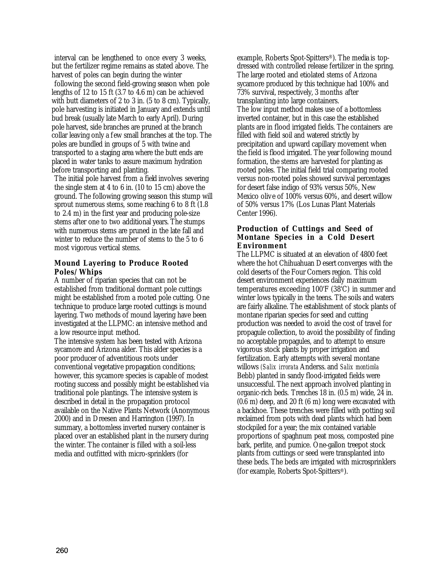interval can be lengthened to once every 3 weeks, but the fertilizer regime remains as stated above. The harvest of poles can begin during the winter

following the second field-growing season when pole lengths of 12 to 15 ft (3.7 to 4.6 m) can be achieved with butt diameters of 2 to 3 in. (5 to 8 cm). Typically, pole harvesting is initiated in January and extends until bud break (usually late March to early April). During pole harvest, side branches are pruned at the branch collar leaving only a few small branches at the top. The poles are bundled in groups of 5 with twine and transported to a staging area where the butt ends are placed in water tanks to assure maximum hydration before transporting and planting.

The initial pole harvest from a field involves severing the single stem at 4 to 6 in. (10 to 15 cm) above the ground. The following growing season this stump will sprout numerous stems, some reaching 6 to 8 ft (1.8 to 2.4 m) in the first year and producing pole-size stems after one to two additional years. The stumps with numerous stems are pruned in the late fall and winter to reduce the number of stems to the 5 to 6 most vigorous vertical stems.

## **Mound Layering to Produce Rooted Poles/Whips**

A number of riparian species that can not be established from traditional dormant pole cuttings might be established from a rooted pole cutting. One technique to produce large rooted cuttings is mound layering. Two methods of mound layering have been investigated at the LLPMC: an intensive method and a low resource input method.

The intensive system has been tested with Arizona sycamore and Arizona alder. This alder species is a poor producer of adventitious roots under conventional vegetative propagation conditions; however, this sycamore species is capable of modest rooting success and possibly might be established via traditional pole plantings. The intensive system is described in detail in the propagation protocol available on the Native Plants Network (Anonymous 2000) and in Dreesen and Harrington (1997). In summary, a bottomless inverted nursery container is placed over an established plant in the nursery during the winter. The container is filled with a soil-less media and outfitted with micro-sprinklers (for

example, Roberts Spot-Spitters®). The media is topdressed with controlled release fertilizer in the spring. The large rooted and etiolated stems of Arizona sycamore produced by this technique had 100% and 73% survival, respectively, 3 months after transplanting into large containers. The low input method makes use of a bottomless inverted container, but in this case the established plants are in flood irrigated fields. The containers are filled with field soil and watered strictly by precipitation and upward capillary movement when the field is flood irrigated. The year following mound formation, the stems are harvested for planting as rooted poles. The initial field trial comparing rooted versus non-rooted poles showed survival percentages for desert false indigo of 93% versus 50%, New Mexico olive of 100% versus 60%, and desert willow of 50% versus 17% (Los Lunas Plant Materials Center 1996).

## **Production of Cuttings and Seed of Montane Species in a Cold Desert Environment**

The LLPMC is situated at an elevation of 4800 feet where the hot Chihuahuan Desert converges with the cold deserts of the Four Corners region. This cold desert environment experiences daily maximum temperatures exceeding 100'F (38'C) in summer and winter lows typically in the teens. The soils and waters are fairly alkaline. The establishment of stock plants of montane riparian species for seed and cutting production was needed to avoid the cost of travel for propagule collection, to avoid the possibility of finding no acceptable propagules, and to attempt to ensure vigorous stock plants by proper irrigation and fertilization. Early attempts with several montane willows *(Salix irrorata* Anderss. and *Salix monticola*  Bebb) planted in sandy flood-irrigated fields were unsuccessful. The next approach involved planting in organic-rich beds. Trenches 18 in. (0.5 m) wide, 24 in. (0.6 m) deep, and 20 ft (6 m) long were excavated with a backhoe. These trenches were filled with potting soil reclaimed from pots with dead plants which had been stockpiled for a year; the mix contained variable proportions of spaghnum peat moss, composted pine bark, perlite, and pumice. One-gallon treepot stock plants from cuttings or seed were transplanted into these beds. The beds are irrigated with microsprinklers (for example, Roberts Spot-Spitters®).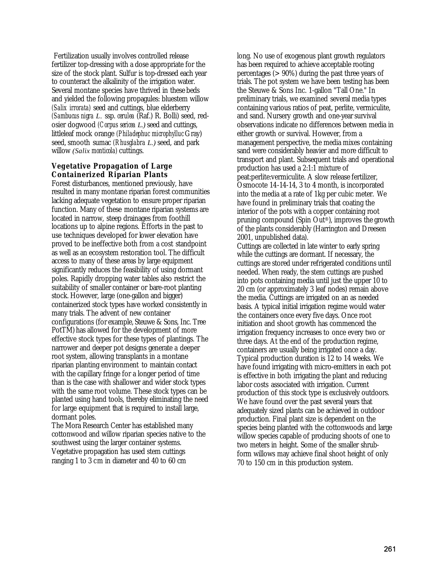Fertilization usually involves controlled release fertilizer top-dressing with a dose appropriate for the size of the stock plant. Sulfur is top-dressed each year to counteract the alkalinity of the irrigation water. Several montane species have thrived in these beds and yielded the following propagules: bluestem willow *(Salix irrorata)* seed and cuttings, blue elderberry *(Sambucus nigra L.* ssp. *cerulea* (Raf.) R. Bolli) seed, redosier dogwood *(Corpus sericea L.)* seed and cuttings, littleleaf mock orange *(Philadephuc microphylluc* Gray) seed, smooth sumac *(Rhusglabra L.)* seed, and park willow *(Salix monticola)* cuttings.

## **Vegetative Propagation of Large Containerized Riparian Plants**

Forest disturbances, mentioned previously, have resulted in many montane riparian forest communities lacking adequate vegetation to ensure proper riparian function. Many of these montane riparian systems are located in narrow, steep drainages from foothill locations up to alpine regions. Efforts in the past to use techniques developed for lower elevation have proved to be ineffective both from a cost standpoint as well as an ecosystem restoration tool. The difficult access to many of these areas by large equipment significantly reduces the feasibility of using dormant poles. Rapidly dropping water tables also restrict the suitability of smaller container or bare-root planting stock. However, large (one-gallon and bigger) containerized stock types have worked consistently in many trials. The advent of new container configurations (for example, Steuwe & Sons, Inc. Tree PotTM) has allowed for the development of more effective stock types for these types of plantings. The narrower and deeper pot designs generate a deeper root system, allowing transplants in a montane riparian planting environment to maintain contact with the capillary fringe for a longer period of time than is the case with shallower and wider stock types with the same root volume. These stock types can be planted using hand tools, thereby eliminating the need for large equipment that is required to install large, dormant poles.

The Mora Research Center has established many cottonwood and willow riparian species native to the southwest using the larger container systems. Vegetative propagation has used stem cuttings ranging 1 to 3 cm in diameter and 40 to 60 cm

long. No use of exogenous plant growth regulators has been required to achieve acceptable rooting percentages (> 90%) during the past three years of trials. The pot system we have been testing has been the Steuwe & Sons Inc. 1-gallon "Tall One." In preliminary trials, we examined several media types containing various ratios of peat, perlite, vermiculite, and sand. Nursery growth and one-year survival observations indicate no differences between media in either growth or survival. However, from a management perspective, the media mixes containing sand were considerably heavier and more difficult to transport and plant. Subsequent trials and operational production has used a 2:1:1 mixture of peat:perlite:vermiculite. A slow release fertilizer, Osmocote 14-14-14, 3 to 4 month, is incorporated into the media at a rate of 1kg per cubic meter. We have found in preliminary trials that coating the interior of the pots with a copper containing root pruning compound (Spin Out®), improves the growth of the plants considerably (Harrington and Dreesen 2001, unpublished data).

Cuttings are collected in late winter to early spring while the cuttings are dormant. If necessary, the cuttings are stored under refrigerated conditions until needed. When ready, the stem cuttings are pushed into pots containing media until just the upper 10 to 20 cm (or approximately 3 leaf nodes) remain above the media. Cuttings are irrigated on an as needed basis. A typical initial irrigation regime would water the containers once every five days. Once root initiation and shoot growth has commenced the irrigation frequency increases to once every two or three days. At the end of the production regime, containers are usually being irrigated once a day. Typical production duration is 12 to 14 weeks. We have found irrigating with micro-emitters in each pot is effective in both irrigating the plant and reducing labor costs associated with irrigation. Current production of this stock type is exclusively outdoors. We have found over the past several years that adequately sized plants can be achieved in outdoor production. Final plant size is dependent on the species being planted with the cottonwoods and large willow species capable of producing shoots of one to two meters in height. Some of the smaller shrubform willows may achieve final shoot height of only 70 to 150 cm in this production system.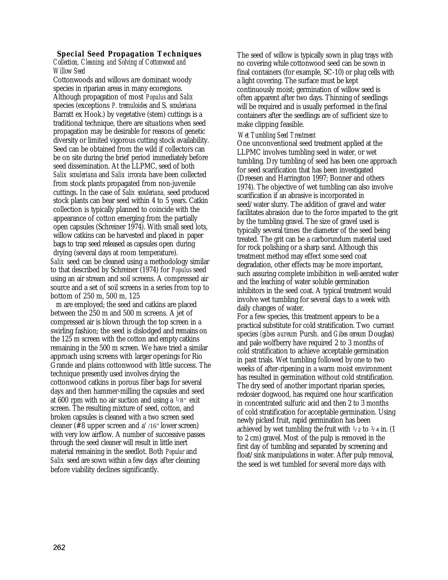# **Special Seed Propagation Techniques**

*Collection, Cleaning, and Solving of Cottonwood and Willow Seed*

Cottonwoods and willows are dominant woody species in riparian areas in many ecoregions. Although propagation of most *Populus* and *Salix*  species (exceptions *P. tremuloides* and S. *scouleriana*  Barratt ex Hook.) by vegetative (stem) cuttings is a traditional technique, there are situations when seed propagation may be desirable for reasons of genetic diversity or limited vigorous cutting stock availability. Seed can be obtained from the wild if collectors can be on site during the brief period immediately before seed dissemination. At the LLPMC, seed of both *Salix scouleriana* and *Salix irrorata* have been collected from stock plants propagated from non-juvenile cuttings. In the case of *Salix scouleriana,* seed produced stock plants can bear seed within 4 to 5 years. Catkin collection is typically planned to coincide with the appearance of cotton emerging from the partially open capsules (Schreiner 1974). With small seed lots, willow catkins can be harvested and placed in paper bags to trap seed released as capsules open during drying (several days at room temperature). *Salix* seed can be cleaned using a methodology similar to that described by Schreiner (1974) for *Populus* seed using an air stream and soil screens. A compressed air source and a set of soil screens in a series from top to bottom of 250 m, 500 m, 125

m are employed; the seed and catkins are placed between the 250 m and 500 m screens. A jet of compressed air is blown through the top screen in a swirling fashion; the seed is dislodged and remains on the  $125$  m screen with the cotton and empty catkins remaining in the 500 m screen. We have tried a similar approach using screens with larger openings for Rio Grande and plains cottonwood with little success. The technique presently used involves drying the cottonwood catkins in porous fiber bags for several days and then hammer-milling the capsules and seed at 600 rpm with no air suction and using a  $1/8$ " exit screen. The resulting mixture of seed, cotton, and broken capsules is cleaned with a two screen seed cleaner (#8 upper screen and a' /16" lower screen) with very low airflow. A number of successive passes through the seed cleaner will result in little inert material remaining in the seedlot. Both *Popular* and *Salix* seed are sown within a few days after cleaning before viability declines significantly.

The seed of willow is typically sown in plug trays with no covering while cottonwood seed can be sown in final containers (for example, SC-10) or plug cells with a light covering. The surface must be kept continuously moist; germination of willow seed is often apparent after two days. Thinning of seedlings will be required and is usually performed in the final containers after the seedlings are of sufficient size to make clipping feasible.

## *Wet Tumbling Seed Treatment*

One unconventional seed treatment applied at the LLPMC involves tumbling seed in water, or wet tumbling. Dry tumbling of seed has been one approach for seed scarification that has been investigated (Dreesen and Harrington 1997; Bonner and others 1974). The objective of wet tumbling can also involve scarification if an abrasive is incorporated in seed/water slurry. The addition of gravel and water facilitates abrasion due to the force imparted to the grit by the tumbling gravel. The size of gravel used is typically several times the diameter of the seed being treated. The grit can be a carborundum material used for rock polishing or a sharp sand. Although this treatment method may effect some seed coat degradation, other effects may be more important, such assuring complete imbibition in well-aerated water and the leaching of water soluble germination inhibitors in the seed coat. A typical treatment would involve wet tumbling for several days to a week with daily changes of water.

For a few species, this treatment appears to be a practical substitute for cold stratification. Two currant species *(gibes aureum* Pursh. and *Gibes cereum* Douglas) and pale wolfberry have required 2 to 3 months of cold stratification to achieve acceptable germination in past trials. Wet tumbling followed by one to two weeks of after-ripening in a warm moist environment has resulted in germination without cold stratification. The dry seed of another important riparian species, redosier dogwood, has required one hour scarification in concentrated sulfuric acid and then 2 to 3 months of cold stratification for acceptable germination. Using newly picked fruit, rapid germination has been achieved by wet tumbling the fruit with  $\frac{1}{2}$  to  $\frac{3}{4}$  in. (1) to 2 cm) gravel. Most of the pulp is removed in the first day of tumbling and separated by screening and float/sink manipulations in water. After pulp removal, the seed is wet tumbled for several more days with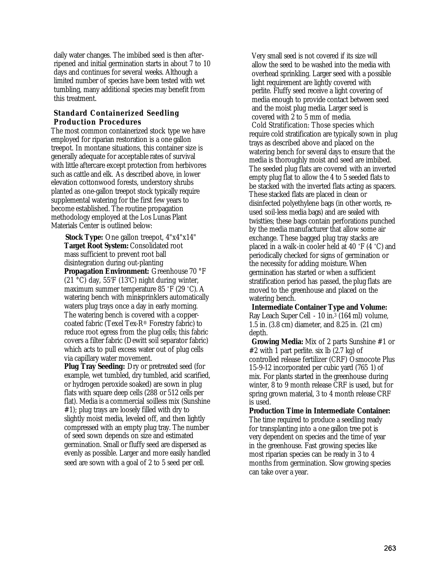daily water changes. The imbibed seed is then afterripened and initial germination starts in about 7 to 10 days and continues for several weeks. Although a limited number of species have been tested with wet tumbling, many additional species may benefit from this treatment.

## **Standard Containerized Seedling Production Procedures**

The most common containerized stock type we have employed for riparian restoration is a one gallon treepot. In montane situations, this container size is generally adequate for acceptable rates of survival with little aftercare except protection from herbivores such as cattle and elk. As described above, in lower elevation cottonwood forests, understory shrubs planted as one-gallon treepot stock typically require supplemental watering for the first few years to become established. The routine propagation methodology employed at the Los Lunas Plant Materials Center is outlined below:

**Stock Type:** One gallon treepot,  $4"x4"x14"$ **Target Root System:** Consolidated root mass sufficient to prevent root ball disintegration during out-planting **Propagation Environment:** Greenhouse 70 °F (21 °C) day, 55'F (13'C) night during winter, maximum summer temperature 85 °F (29 °C). A watering bench with minisprinklers automatically waters plug trays once a day in early morning. The watering bench is covered with a coppercoated fabric (Texel Tex-R® Forestry fabric) to

reduce root egress from the plug cells; this fabric covers a filter fabric (Dewitt soil separator fabric) which acts to pull excess water out of plug cells via capillary water movement.

**Plug Tray Seeding:** Dry or pretreated seed (for example, wet tumbled, dry tumbled, acid scarified, or hydrogen peroxide soaked) are sown in plug flats with square deep cells (288 or 512 cells per flat). Media is a commercial soilless mix (Sunshine #1); plug trays are loosely filled with dry to slightly moist media, leveled off, and then lightly compressed with an empty plug tray. The number of seed sown depends on size and estimated germination. Small or fluffy seed are dispersed as evenly as possible. Larger and more easily handled seed are sown with a goal of 2 to 5 seed per cell.

Very small seed is not covered if its size will allow the seed to be washed into the media with overhead sprinkling. Larger seed with a possible light requirement are lightly covered with perlite. Fluffy seed receive a light covering of media enough to provide contact between seed and the moist plug media. Larger seed is covered with 2 to 5 mm of media. Cold Stratification: Those species which require cold stratification are typically sown in plug trays as described above and placed on the watering bench for several days to ensure that the media is thoroughly moist and seed are imbibed. The seeded plug flats are covered with an inverted empty plug flat to allow the 4 to 5 seeded flats to be stacked with the inverted flats acting as spacers. These stacked flats are placed in clean or disinfected polyethylene bags (in other words, reused soil-less media bags) and are sealed with twistties; these bags contain perforations punched by the media manufacturer that allow some air exchange. These bagged plug tray stacks are placed in a walk-in cooler held at 40 °F (4 °C) and periodically checked for signs of germination or the necessity for adding moisture. When germination has started or when a sufficient stratification period has passed, the plug flats are moved to the greenhouse and placed on the watering bench.

**Intermediate Container Type and Volume:**  Ray Leach Super Cell - 10 in.<sup>3</sup> (164 ml) volume, 1.5 in. (3.8 cm) diameter, and 8.25 in. (21 cm) depth.

**Growing Media:** Mix of 2 parts Sunshine #1 or  $#2$  with 1 part perlite. six lb  $(2.7 \text{ kg})$  of controlled release fertilizer (CRF) Osmocote Plus 15-9-12 incorporated per cubic yard (765 1) of mix. For plants started in the greenhouse during winter, 8 to 9 month release CRF is used, but for spring grown material, 3 to 4 month release CRF is used.

**Production Time in Intermediate Container:**  The time required to produce a seedling ready for transplanting into a one gallon tree pot is very dependent on species and the time of year in the greenhouse. Fast growing species like most riparian species can be ready in 3 to 4 months from germination. Slow growing species can take over a year.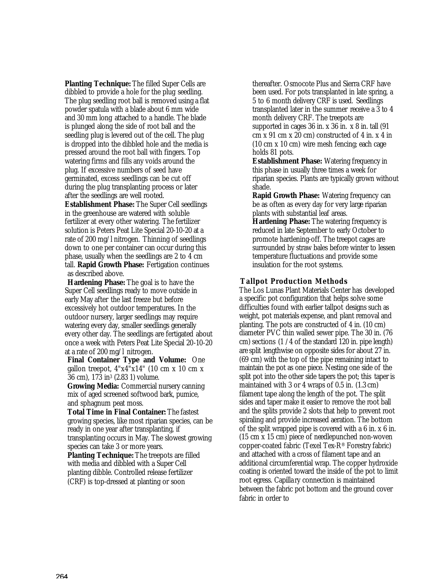**Planting Technique:** The filled Super Cells are dibbled to provide a hole for the plug seedling. The plug seedling root ball is removed using a flat powder spatula with a blade about 6 mm wide and 30 mm long attached to a handle. The blade is plunged along the side of root ball and the seedling plug is levered out of the cell. The plug is dropped into the dibbled hole and the media is pressed around the root ball with fingers. Top watering firms and fills any voids around the plug. If excessive numbers of seed have germinated, excess seedlings can be cut off during the plug transplanting process or later after the seedlings are well rooted.

**Establishment Phase:** The Super Cell seedlings in the greenhouse are watered with soluble fertilizer at every other watering. The fertilizer solution is Peters Peat Lite Special 20-10-20 at a rate of 200 mg/l nitrogen. Thinning of seedlings down to one per container can occur during this phase, usually when the seedlings are 2 to 4 cm tall. **Rapid Growth Phase:** Fertigation continues as described above.

**Hardening Phase:** The goal is to have the Super Cell seedlings ready to move outside in early May after the last freeze but before excessively hot outdoor temperatures. In the outdoor nursery, larger seedlings may require watering every day, smaller seedlings generally every other day. The seedlings are fertigated about once a week with Peters Peat Lite Special 20-10-20 at a rate of 200 mg/l nitrogen.

**Final Container Type and Volume:** One gallon treepot,  $4"x4"x14"$  (10 cm x 10 cm x 36 cm), 173 in<sup>3</sup> (2.83 1) volume.

**Growing Media:** Commercial nursery canning mix of aged screened softwood bark, pumice, and sphagnum peat moss.

**Total Time in Final Container:** The fastest growing species, like most riparian species, can be ready in one year after transplanting, if transplanting occurs in May. The slowest growing species can take 3 or more years.

**Planting Technique:** The treepots are filled with media and dibbled with a Super Cell planting dibble. Controlled release fertilizer (CRF) is top-dressed at planting or soon

thereafter. Osmocote Plus and Sierra CRF have been used. For pots transplanted in late spring, a 5 to 6 month delivery CRF is used. Seedlings transplanted later in the summer receive a 3 to 4 month delivery CRF. The treepots are supported in cages 36 in. x 36 in. x 8 in. tall (91 cm x 91 cm x 20 cm) constructed of 4 in. x 4 in (10 cm x 10 cm) wire mesh fencing; each cage holds 81 pots.

**Establishment Phase:** Watering frequency in this phase in usually three times a week for riparian species. Plants are typically grown without shade.

**Rapid Growth Phase:** Watering frequency can be as often as every day for very large riparian plants with substantial leaf areas.

**Hardening Phase:** The watering frequency is reduced in late September to early October to promote hardening-off. The treepot cages are surrounded by straw bales before winter to lessen temperature fluctuations and provide some insulation for the root systems.

## **Tallpot Production Methods**

The Los Lunas Plant Materials Center has developed a specific pot configuration that helps solve some difficulties found with earlier tallpot designs such as weight, pot materials expense, and plant removal and planting. The pots are constructed of 4 in. (10 cm) diameter PVC thin walled sewer pipe. The 30 in. (76 cm) sections (1 /4 of the standard 120 in. pipe length) are split lengthwise on opposite sides for about 27 in. (69 cm) with the top of the pipe remaining intact to maintain the pot as one piece. Nesting one side of the split pot into the other side tapers the pot; this taper is maintained with 3 or 4 wraps of 0.5 in. (1.3 cm) filament tape along the length of the pot. The split sides and taper make it easier to remove the root ball and the splits provide 2 slots that help to prevent root spiraling and provide increased aeration. The bottom of the split wrapped pipe is covered with a 6 in. x 6 in. (15 cm x 15 cm) piece of needlepunched non-woven copper-coated fabric (Texel Tex-R® Forestry fabric) and attached with a cross of filament tape and an additional circumferential wrap. The copper hydroxide coating is oriented toward the inside of the pot to limit root egress. Capilla ry connection is maintained between the fabric pot bottom and the ground cover fabric in order to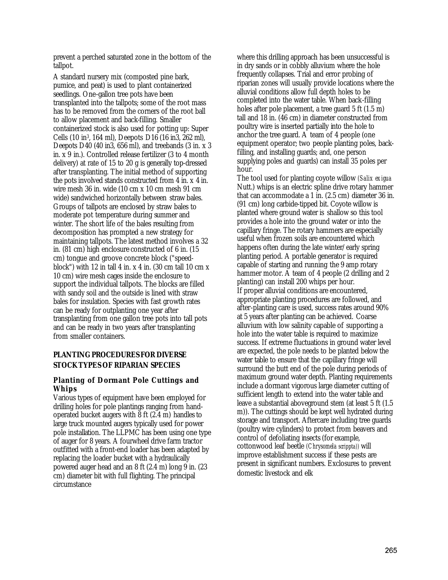prevent a perched saturated zone in the bottom of the tallpot.

A standard nursery mix (composted pine bark, pumice, and peat) is used to plant containerized seedlings. One-gallon tree pots have been transplanted into the tallpots; some of the root mass has to be removed from the corners of the root ball to allow placement and back-filling. Smaller containerized stock is also used for potting up: Super Cells (10 in3, 164 ml), Deepots D16 (16 in3, 262 ml), Deepots D40 (40 in3, 656 ml), and treebands (3 in. x 3 in. x 9 in.). Controlled release fertilizer (3 to 4 month delivery) at rate of 15 to 20 g is generally top-dressed after transplanting. The initial method of supporting the pots involved stands constructed from 4 in. x 4 in. wire mesh 36 in. wide (10 cm x 10 cm mesh 91 cm wide) sandwiched horizontally between straw bales. Groups of tallpots are enclosed by straw bales to moderate pot temperature during summer and winter. The short life of the bales resulting from decomposition has prompted a new strategy for maintaining tallpots. The latest method involves a 32 in. (81 cm) high enclosure constructed of 6 in. (15 cm) tongue and groove concrete block ("speedblock") with 12 in tall 4 in.  $x$  4 in. (30 cm tall 10 cm  $x$ ) 10 cm) wire mesh cages inside the enclosure to support the individual tallpots. The blocks are filled with sandy soil and the outside is lined with straw bales for insulation. Species with fast growth rates can be ready for outplanting one year after transplanting from one gallon tree pots into tall pots and can be ready in two years after transplanting from smaller containers.

# **PLANTING PROCEDURES FOR DIVERSE STOCK TYPES OF RIPARIAN SPECIES**

## **Planting of Dormant Pole Cuttings and Whips**

Various types of equipment have been employed for drilling holes for pole plantings ranging from handoperated bucket augers with  $\bar{8}$  ft (2.4 m) handles to large truck mounted augers typically used for power pole installation. The LLPMC has been using one type of auger for 8 years. A fourwheel drive farm tractor outfitted with a front-end loader has been adapted by replacing the loader bucket with a hydraulically powered auger head and an 8 ft (2.4 m) long 9 in. (23 cm) diameter bit with full flighting. The principal circumstance

where this drilling approach has been unsuccessful is in dry sands or in cobbly alluvium where the hole frequently collapses. Trial and error probing of riparian zones will usually provide locations where the alluvial conditions allow full depth holes to be completed into the water table. When back-filling holes after pole placement, a tree guard 5 ft (1.5 m) tall and 18 in. (46 cm) in diameter constructed from poultry wire is inserted partially into the hole to anchor the tree guard. A team of 4 people (one equipment operator; two people planting poles, backfilling, and installing guards; and, one person supplying poles and guards) can install 35 poles per hour.

The tool used for planting coyote willow *(Salix exigua*  Nutt.) whips is an electric spline drive rotary hammer that can accommodate a 1 in. (2.5 cm) diameter 36 in. (91 cm) long carbide-tipped bit. Coyote willow is planted where ground water is shallow so this tool provides a hole into the ground water or into the capillary fringe. The rotary hammers are especially useful when frozen soils are encountered which happens often during the late winter/early spring planting period. A portable generator is required capable of starting and running the 9 amp rotary hammer motor.  $\overline{A}$  team of 4 people (2 drilling and 2 planting) can install 200 whips per hour. If proper alluvial conditions are encountered, appropriate planting procedures are followed, and after-planting care is used, success rates around 90% at 5 years after planting can be achieved. Coarse alluvium with low salinity capable of supporting a hole into the water table is required to maximize success. If extreme fluctuations in ground water level are expected, the pole needs to be planted below the water table to ensure that the capillary fringe will surround the butt end of the pole during periods of maximum ground water depth. Planting requirements include a dormant vigorous large diameter cutting of sufficient length to extend into the water table and leave a substantial aboveground stem (at least 5 ft (1.5 m)). The cuttings should be kept well hydrated during storage and transport. Aftercare including tree guards (poultry wire cylinders) to protect from beavers and control of defoliating insects (for example, cottonwood leaf beetle *(Chrysomela scrippta))* will improve establishment success if these pests are present in significant numbers. Exclosures to prevent domestic livestock and elk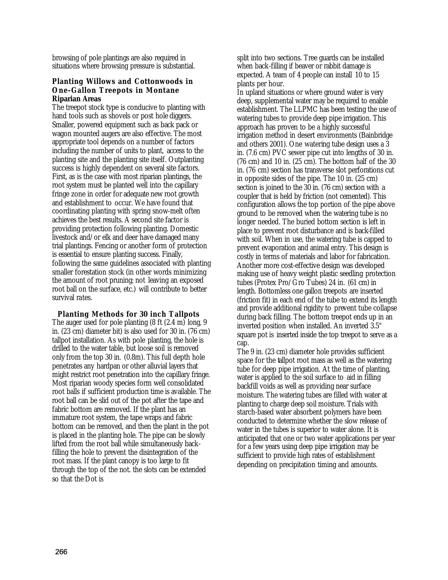browsing of pole plantings are also required in situations where browsing pressure is substantial.

## **Planting Willows and Cottonwoods in One-Gallon Treepots in Montane Riparian Areas**

The treepot stock type is conducive to planting with hand tools such as shovels or post hole diggers. Smaller, powered equipment such as back pack or wagon mounted augers are also effective. The most appropriate tool depends on a number of factors including the number of units to plant, access to the planting site and the planting site itself. Outplanting success is highly dependent on several site factors. First, as is the case with most riparian plantings, the root system must be planted well into the capillary fringe zone in order for adequate new root growth and establishment to occur. We have found that coordinating planting with spring snow-melt often achieves the best results. A second site factor is providing protection following planting. Domestic livestock and/or elk and deer have damaged many trial plantings. Fencing or another form of protection is essential to ensure planting success. Finally, following the same guidelines associated with planting smaller forestation stock (in other words minimizing the amount of root pruning; not leaving an exposed root ball on the surface, etc.) will contribute to better survival rates.

**Planting Methods for 30 inch Tallpots** The auger used for pole planting (8 ft (2.4 m) long, 9 in. (23 cm) diameter bit) is also used for 30 in. (76 cm) tallpot installation. As with pole planting, the hole is drilled to the water table, but loose soil is removed only from the top 30 in. (0.8m). This full depth hole penetrates any hardpan or other alluvial layers that might restrict root penetration into the capillary fringe. Most riparian woody species form well consolidated root balls if sufficient production time is available. The root ball can be slid out of the pot after the tape and fabric bottom are removed. If the plant has an immature root system, the tape wraps and fabric bottom can be removed, and then the plant in the pot is placed in the planting hole. The pipe can be slowly lifted from the root ball while simultaneously backfilling the hole to prevent the disintegration of the root mass. If the plant canopy is too large to fit through the top of the not. the slots can be extended so that the Dot is

split into two sections. Tree guards can be installed when back-filling if beaver or rabbit damage is expected. A team of 4 people can install 10 to 15 plants per hour.

In upland situations or where ground water is very deep, supplemental water may be required to enable establishment. The LLPMC has been testing the use of watering tubes to provide deep pipe irrigation. This approach has proven to be a highly successful irrigation method in desert environments (Bainbridge and others 2001). One watering tube design uses a 3 in. (7.6 cm) PVC sewer pipe cut into lengths of 30 in. (76 cm) and 10 in. (25 cm). The bottom half of the 30 in. (76 cm) section has transverse slot perforations cut in opposite sides of the pipe. The 10 in. (25 cm) section is joined to the 30 in. (76 cm) section with a coupler that is held by friction (not cemented). This configuration allows the top portion of the pipe above ground to be removed when the watering tube is no longer needed. The buried bottom section is left in place to prevent root disturbance and is back-filled with soil. When in use, the watering tube is capped to prevent evaporation and animal entry. This design is costly in terms of materials and labor for fabrication. Another more cost-effective design was developed making use of heavy weight plastic seedling protection tubes (Protex Pro/Gro Tubes) 24 in. (61 cm) in length. Bottomless one gallon treepots are inserted (friction fit) in each end of the tube to extend its length and provide additional rigidity to prevent tube collapse during back filling. The bottom treepot ends up in an inverted position when installed. An inverted 3.5" square pot is inserted inside the top treepot to serve as a cap.

The 9 in. (23 cm) diameter hole provides sufficient space for the tallpot root mass as well as the watering tube for deep pipe irrigation. At the time of planting, water is applied to the soil surface to aid in filling backfill voids as well as providing near surface moisture. The watering tubes are filled with water at planting to charge deep soil moisture. Trials with starch-based water absorbent polymers have been conducted to determine whether the slow release of water in the tubes is superior to water alone. It is anticipated that one or two water applications per year for a few years using deep pipe irrigation may be sufficient to provide high rates of establishment depending on precipitation timing and amounts.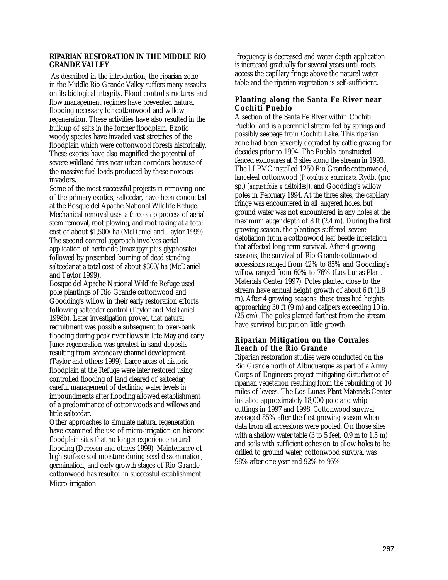## **RIPARIAN RESTORATION IN THE MIDDLE RIO GRANDE VALLEY**

As described in the introduction, the riparian zone in the Middle Rio Grande Valley suffers many assaults on its biological integrity. Flood control structures and flow management regimes have prevented natural flooding necessary for cottonwood and willow regeneration. These activities have also resulted in the buildup of salts in the former floodplain. Exotic woody species have invaded vast stretches of the floodplain which were cottonwood forests historically. These exotics have also magnified the potential of severe wildland fires near urban corridors because of the massive fuel loads produced by these noxious invaders.

Some of the most successful projects in removing one of the primary exotics, saltcedar, have been conducted at the Bosque del Apache National Wildlife Refuge. Mechanical removal uses a three step process of aerial stem removal, root plowing, and root raking at a total cost of about \$1,500/ha (McDaniel and Taylor 1999). The second control approach involves aerial application of herbicide (imazapyr plus glyphosate) followed by prescribed burning of dead standing saltcedar at a total cost of about \$300/ha (McDaniel and Taylor 1999).

Bosque del Apache National Wildlife Refuge used pole plantings of Rio Grande cottonwood and Goodding's willow in their early restoration efforts following saltcedar control (Taylor and McDaniel 1998b). Later investigation proved that natural recruitment was possible subsequent to over-bank flooding during peak river flows in late May and early June; regeneration was greatest in sand deposits resulting from secondary channel development (Taylor and others 1999). Large areas of historic floodplain at the Refuge were later restored using controlled flooding of land cleared of saltcedar; careful management of declining water levels in impoundments after flooding allowed establishment of a predominance of cottonwoods and willows and little saltcedar.

Other approaches to simulate natural regeneration have examined the use of micro-irrigation on historic floodplain sites that no longer experience natural flooding (Dreesen and others 1999). Maintenance of high surface soil moisture during seed dissemination, germination, and early growth stages of Rio Grande cottonwood has resulted in successful establishment. Micro-irrigation

frequency is decreased and water depth application is increased gradually for several years until roots access the capillary fringe above the natural water table and the riparian vegetation is self-sufficient.

# **Planting along the Santa Fe River near Cochiti Pueblo**

A section of the Santa Fe River within Cochiti Pueblo land is a perennial stream fed by springs and possibly seepage from Cochiti Lake. This riparian zone had been severely degraded by cattle grazing for decades prior to 1994. The Pueblo constructed fenced exclosures at 3 sites along the stream in 1993. The LLPMC installed 1250 Rio Grande cottonwood, lanceleaf cottonwood *(P opulus x acuminata* Rydb. (pro sp.) *[angustifolia x deltoides]),* and Goodding's willow poles in February 1994. At the three sites, the capillary fringe was encountered in all augered holes, but ground water was not encountered in any holes at the maximum auger depth of 8 ft (2.4 m). During the first growing season, the plantings suffered severe defoliation from a cottonwood leaf beetle infestation that affected long term surviv al. After 4 growing seasons, the survival of Rio Grande cottonwood accessions ranged from 42% to 85% and Goodding's willow ranged from 60% to 76% (Los Lunas Plant Materials Center 1997). Poles planted close to the stream have annual height growth of about 6 ft (1.8 m). After 4 growing seasons, these trees had heights approaching 30 ft (9 m) and calipers exceeding 10 in. (25 cm). The poles planted farthest from the stream have survived but put on little growth.

# **Riparian Mitigation on the Corrales Reach of the Rio Grande**

Riparian restoration studies were conducted on the Rio Grande north of Albuquerque as part of a Army Corps of Engineers project mitigating disturbance of riparian vegetation resulting from the rebuilding of 10 miles of levees. The Los Lunas Plant Materials Center installed approximately 18,000 pole and whip cuttings in 1997 and 1998. Cottonwood survival averaged 85% after the first growing season when data from all accessions were pooled. On those sites with a shallow water table (3 to 5 feet, 0.9 m to 1.5 m) and soils with sufficient cohesion to allow holes to be drilled to ground water, cottonwood survival was 98% after one year and 92% to 95%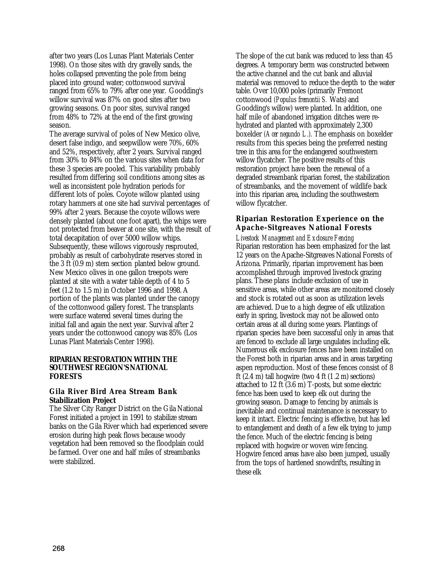after two years (Los Lunas Plant Materials Center 1998). On those sites with dry gravelly sands, the holes collapsed preventing the pole from being placed into ground water; cottonwood survival ranged from 65% to 79% after one year. Goodding's willow survival was 87% on good sites after two growing seasons. On poor sites, survival ranged from 48% to 72% at the end of the first growing season.

The average survival of poles of New Mexico olive, desert false indigo, and seepwillow were 70%, 60% and 52%, respectively, after 2 years. Survival ranged from 30% to 84% on the various sites when data for these 3 species are pooled. This variability probably resulted from differing soil conditions among sites as well as inconsistent pole hydration periods for different lots of poles. Coyote willow planted using rotary hammers at one site had survival percentages of 99% after 2 years. Because the coyote willows were densely planted (about one foot apart), the whips were not protected from beaver at one site, with the result of total decapitation of over 5000 willow whips. Subsequently, these willows vigorously resprouted, probably as result of carbohydrate reserves stored in the 3 ft (0.9 m) stem section planted below ground. New Mexico olives in one gallon treepots were planted at site with a water table depth of 4 to 5 feet (1.2 to 1.5 m) in October 1996 and 1998. A portion of the plants was planted under the canopy of the cottonwood gallery forest. The transplants were surface watered several times during the initial fall and again the next year. Survival after 2 years under the cottonwood canopy was 85% (Los Lunas Plant Materials Center 1998).

## **RIPARIAN RESTORATION WITHIN THE SOUTHWEST REGION'S NATIONAL FORESTS**

## **Gila River Bird Area Stream Bank Stabilization Project**

The Silver City Ranger District on the Gila National Forest initiated a project in 1991 to stabilize stream banks on the Gila River which had experienced severe erosion during high peak flows because woody vegetation had been removed so the floodplain could be farmed. Over one and half miles of streambanks were stabilized.

The slope of the cut bank was reduced to less than 45 degrees. A temporary berm was constructed between the active channel and the cut bank and alluvial material was removed to reduce the depth to the water table. Over 10,000 poles (primarily Fremont cottonwood *(Populus fremontii S.* Wats) and Goodding's willow) were planted. In addition, one half mile of abandoned irrigation ditches were rehydrated and planted with approximately 2,300 boxelder *(Acer negundo L.).* The emphasis on boxelder results from this species being the preferred nesting tree in this area for the endangered southwestern willow flycatcher. The positive results of this restoration project have been the renewal of a degraded streambank riparian forest, the stabilization of streambanks, and the movement of wildlife back into this riparian area, including the southwestern willow flycatcher.

## **Riparian Restoration Experience on the Apache-Sitgreaves National Forests**

*Livestock Management and Exclosure Fencing* Riparian restoration has been emphasized for the last 12 years on the Apache-Sitgreaves National Forests of Arizona. Primarily, riparian improvement has been accomplished through improved livestock grazing plans. These plans include exclusion of use in sensitive areas, while other areas are monitored closely and stock is rotated out as soon as utilization levels are achieved. Due to a high degree of elk utilization early in spring, livestock may not be allowed onto certain areas at all during some years. Plantings of riparian species have been successful only in areas that are fenced to exclude all large ungulates including elk. Numerous elk exclosure fences have been installed on the Forest both in riparian areas and in areas targeting aspen reproduction. Most of these fences consist of 8 ft  $(2.4 \text{ m})$  tall hogwire (two  $4 \text{ ft}$   $(1.2 \text{ m})$  sections) attached to 12 ft (3.6 m) T-posts, but some electric fence has been used to keep elk out during the growing season. Damage to fencing by animals is inevitable and continual maintenance is necessary to keep it intact. Electric fencing is effective, but has led to entanglement and death of a few elk trying to jump the fence. Much of the electric fencing is being replaced with hogwire or woven wire fencing. Hogwire fenced areas have also been jumped, usually from the tops of hardened snowdrifts, resulting in these elk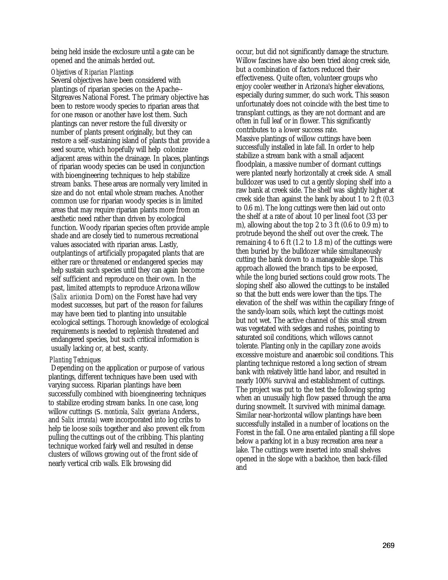being held inside the exclosure until a gate can be opened and the animals herded out.

#### *Objectives of Riparian Plantings*

Several objectives have been considered with plantings of riparian species on the Apache-- Sitgreaves National Forest. The primary objective has been to restore woody species to riparian areas that for one reason or another have lost them. Such plantings can never restore the full diversity or number of plants present originally, but they can restore a self-sustaining island of plants that provide a seed source, which hopefully will help colonize adjacent areas within the drainage. In places, plantings of riparian woody species can be used in conjunction with bioengineering techniques to help stabilize stream banks. These areas are normally very limited in size and do not entail whole stream reaches. Another common use for riparian woody species is in limited areas that may require riparian plants more from an aesthetic need rather than driven by ecological function. Woody riparian species often provide ample shade and are closely tied to numerous recreational values associated with riparian areas. Lastly, outplantings of artificially propagated plants that are either rare or threatened or endangered species may help sustain such species until they can again become self sufficient and reproduce on their own. In the past, limited attempts to reproduce Arizona willow *(Salix ariionica* Dorn) on the Forest have had very modest successes, but part of the reason for failures may have been tied to planting into unsuitable ecological settings. Thorough knowledge of ecological requirements is needed to replenish threatened and endangered species, but such critical information is usually lacking or, at best, scanty.

## *Planting Techniques*

Depending on the application or purpose of various plantings, different techniques have been used with varying success. Riparian plantings have been successfully combined with bioengineering techniques to stabilize eroding stream banks. In one case, long willow cuttings *(S. monticola, Salix geyeriana* Anderss., and *Salix irrorata)* were incorporated into log cribs to help tie loose soils together and also prevent elk from pulling the cuttings out of the cribbing. This planting technique worked fairly well and resulted in dense clusters of willows growing out of the front side of nearly vertical crib walls. Elk browsing did

occur, but did not significantly damage the structure. Willow fascines have also been tried along creek side, but a combination of factors reduced their effectiveness. Quite often, volunteer groups who enjoy cooler weather in Arizona's higher elevations, especially during summer, do such work. This season unfortunately does not coincide with the best time to transplant cuttings, as they are not dormant and are often in full leaf or in flower. This significantly contributes to a lower success rate. Massive plantings of willow cuttings have been successfully installed in late fall. In order to help stabilize a stream bank with a small adjacent floodplain, a massive number of dormant cuttings were planted nearly horizontally at creek side. A small bulldozer was used to cut a gently sloping shelf into a raw bank at creek side. The shelf was slightly higher at creek side than against the bank by about 1 to 2 ft (0.3 to 0.6 m). The long cuttings were then laid out onto the shelf at a rate of about 10 per lineal foot (33 per m), allowing about the top 2 to 3 ft (0.6 to 0.9 m) to protrude beyond the shelf out over the creek. The remaining 4 to 6 ft (1.2 to 1.8 m) of the cuttings were then buried by the bulldozer while simultaneously cutting the bank down to a manageable slope. This approach allowed the branch tips to be exposed, while the long buried sections could grow roots. The sloping shelf also allowed the cuttings to be installed so that the butt ends were lower than the tips. The elevation of the shelf was within the capillary fringe of the sandy-loam soils, which kept the cuttings moist but not wet. The active channel of this small stream was vegetated with sedges and rushes, pointing to saturated soil conditions, which willows cannot tolerate. Planting only in the capillary zone avoids excessive moisture and anaerobic soil conditions. This planting technique restored a long section of stream bank with relatively little hand labor, and resulted in nearly 100% survival and establishment of cuttings. The project was put to the test the following spring when an unusually high flow passed through the area during snowmelt. It survived with minimal damage. Similar near-horizontal willow plantings have been successfully installed in a number of locations on the Forest in the fall. One area entailed planting a fill slope below a parking lot in a busy recreation area near a lake. The cuttings were inserted into small shelves opened in the slope with a backhoe, then back-filled and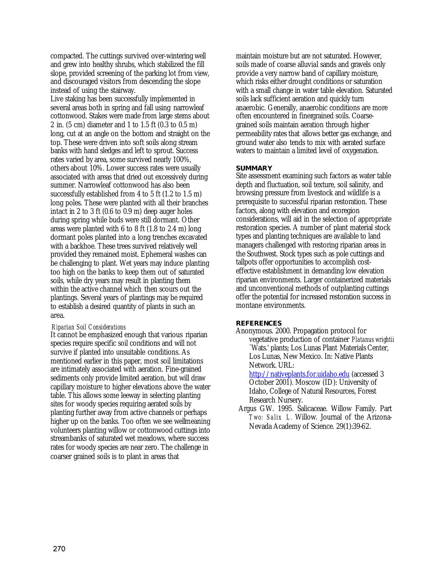compacted. The cuttings survived over-wintering well and grew into healthy shrubs, which stabilized the fill slope, provided screening of the parking lot from view, and discouraged visitors from descending the slope instead of using the stairway.

Live staking has been successfully implemented in several areas both in spring and fall using narrowleaf cottonwood. Stakes were made from large stems about 2 in. (5 cm) diameter and 1 to 1.5 ft (0.3 to 0.5 m) long, cut at an angle on the bottom and straight on the top. These were driven into soft soils along stream banks with hand sledges and left to sprout. Success rates varied by area, some survived nearly 100%, others about 10%. Lower success rates were usually associated with areas that dried out excessively during summer. Narrowleaf cottonwood has also been successfully established from 4 to 5 ft (1.2 to 1.5 m) long poles. These were planted with all their branches intact in 2 to 3 ft (0.6 to 0.9 m) deep auger holes during spring while buds were still dormant. Other areas were planted with 6 to 8 ft (1.8 to 2.4 m) long dormant poles planted into a long trenches excavated with a backhoe. These trees survived relatively well provided they remained moist. Ephemeral washes can be challenging to plant. Wet years may induce planting too high on the banks to keep them out of saturated soils, while dry years may result in planting them within the active channel which then scours out the plantings. Several years of plantings may be required to establish a desired quantity of plants in such an area.

#### *Riparian Soil Considerations*

It cannot be emphasized enough that various riparian species require specific soil conditions and will not survive if planted into unsuitable conditions. As mentioned earlier in this paper, most soil limitations are intimately associated with aeration. Fine-grained sediments only provide limited aeration, but will draw capillary moisture to higher elevations above the water table. This allows some leeway in selecting planting sites for woody species requiring aerated soils by planting further away from active channels or perhaps higher up on the banks. Too often we see wellmeaning volunteers planting willow or cottonwood cuttings into streambanks of saturated wet meadows, where success rates for woody species are near zero. The challenge in coarser grained soils is to plant in areas that

maintain moisture but are not saturated. However, soils made of coarse alluvial sands and gravels only provide a very narrow band of capillary moisture, which risks either drought conditions or saturation with a small change in water table elevation. Saturated soils lack sufficient aeration and quickly turn anaerobic. Generally, anaerobic conditions are more often encountered in finergrained soils. Coarsegrained soils maintain aeration through higher permeability rates that allows better gas exchange, and ground water also tends to mix with aerated surface waters to maintain a limited level of oxygenation.

#### **SUMMARY**

Site assessment examining such factors as water table depth and fluctuation, soil texture, soil salinity, and browsing pressure from livestock and wildlife is a prerequisite to successful riparian restoration. These factors, along with elevation and ecoregion considerations, will aid in the selection of appropriate restoration species. A number of plant material stock types and planting techniques are available to land managers challenged with restoring riparian areas in the Southwest. Stock types such as pole cuttings and tallpots offer opportunities to accomplish costeffective establishment in demanding low elevation riparian environments. Larger containerized materials and unconventional methods of outplanting cuttings offer the potential for increased restoration success in montane environments.

#### **REFERENCES**

Anonymous. 2000. Propagation protocol for vegetative production of container *Platanus wrightii*  `Wats.' plants; Los Lunas Plant Materials Center, Los Lunas, New Mexico. In: Native Plants Network. URL:

http://nativeplants.for.uidaho.edu (accessed 3 October 2001). Moscow (ID): University of Idaho, College of Natural Resources, Forest Research Nursery.

Argus GW. 1995. Salicaceae. Willow Family. Part *Two: Salix L.* Willow. Journal of the Arizona-Nevada Academy of Science. 29(1):39-62.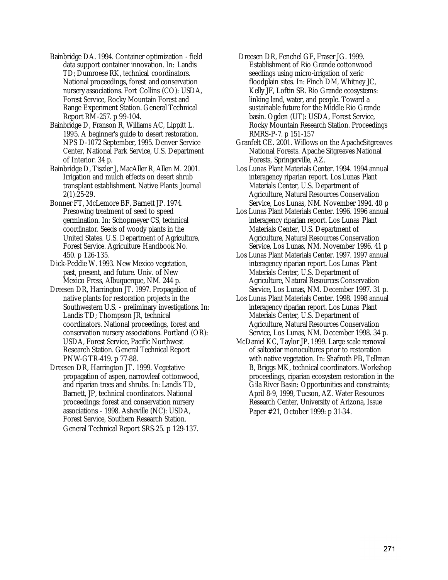- Bainbridge DA. 1994. Container optimization field data support container innovation. In: Landis TD; Dumroese RK, technical coordinators. National proceedings, forest and conservation nursery associations. Fort Collins (CO): USDA, Forest Service, Rocky Mountain Forest and Range Experiment Station. General Technical Report RM-257. p 99-104.
- Bainbridge D, Franson R, Williams AC, Lippitt L. 1995. A beginner's guide to desert restoration. NPS D-1072 September, 1995. Denver Service Center, National Park Service, U.S. Department of Interior. 34 p.

Bainbridge D, Tiszler J, MacAller R, Allen M. 2001. Irrigation and mulch effects on desert shrub transplant establishment. Native Plants Journal 2(1):25-29.

Bonner FT, McLemore BF, Barnett JP. 1974. Presowing treatment of seed to speed germination. In: Schopmeyer CS, technical coordinator. Seeds of woody plants in the United States. U.S. Department of Agriculture, Forest Service. Agriculture Handbook No. 450. p 126-135.

Dick-Peddie W. 1993. New Mexico vegetation, past, present, and future. Univ. of New Mexico Press, Albuquerque, NM. 244 p.

Dreesen DR, Harrington JT. 1997. Propagation of native plants for restoration projects in the Southwestern U.S. - preliminary investigations. In: Landis TD; Thompson JR, technical coordinators. National proceedings, forest and conservation nursery associations. Portland (OR): USDA, Forest Service, Pacific Northwest Research Station. General Technical Report PNW-GTR-419. p 77-88.

Dreesen DR, Harrington JT. 1999. Vegetative propagation of aspen, narrowleaf cottonwood, and riparian trees and shrubs. In: Landis TD, Barnett, JP, technical coordinators. National proceedings: forest and conservation nursery associations - 1998. Asheville (NC): USDA, Forest Service, Southern Research Station. General Technical Report SRS-25. p 129-137.

- Dreesen DR, Fenchel GF, Fraser JG. 1999. Establishment of Rio Grande cottonwood seedlings using micro-irrigation of xeric floodplain sites. In: Finch DM, Whitney JC, Kelly JF, Loftin SR. Rio Grande ecosystems: linking land, water, and people. Toward a sustainable future for the Middle Rio Grande basin. Ogden (UT): USDA, Forest Service, Rocky Mountain Research Station. Proceedings RMRS-P-7. p 151-157
- Granfelt CE. 2001. Willows on the ApacheSitgreaves National Forests. Apache Sitgreaves National Forests, Springerville, AZ.
- Los Lunas Plant Materials Center. 1994. 1994 annual interagency riparian report. Los Lunas Plant Materials Center, U.S. Department of Agriculture, Natural Resources Conservation Service, Los Lunas, NM. November 1994. 40 p.
- Los Lunas Plant Materials Center. 1996. 1996 annual interagency riparian report. Los Lunas Plant Materials Center, U.S. Department of Agriculture, Natural Resources Conservation Service, Los Lunas, NM. November 1996. 41 p.
- Los Lunas Plant Materials Center. 1997. 1997 annual interagency riparian report. Los Lunas Plant Materials Center, U.S. Department of Agriculture, Natural Resources Conservation Service, Los Lunas, NM. December 1997. 31 p.
- Los Lunas Plant Materials Center. 1998. 1998 annual interagency riparian report. Los Lunas Plant Materials Center, U.S. Department of Agriculture, Natural Resources Conservation Service, Los Lunas, NM. December 1998. 34 p.
- McDaniel KC, Taylor JP. 1999. Large scale removal of saltcedar monocultures prior to restoration with native vegetation. In: Shafroth PB, Tellman B, Briggs MK, technical coordinators. Workshop proceedings, riparian ecosystem restoration in the Gila River Basin: Opportunities and constraints; April 8-9, 1999, Tucson, AZ. Water Resources Research Center, University of Arizona, Issue Paper #21, October 1999: p 31-34.